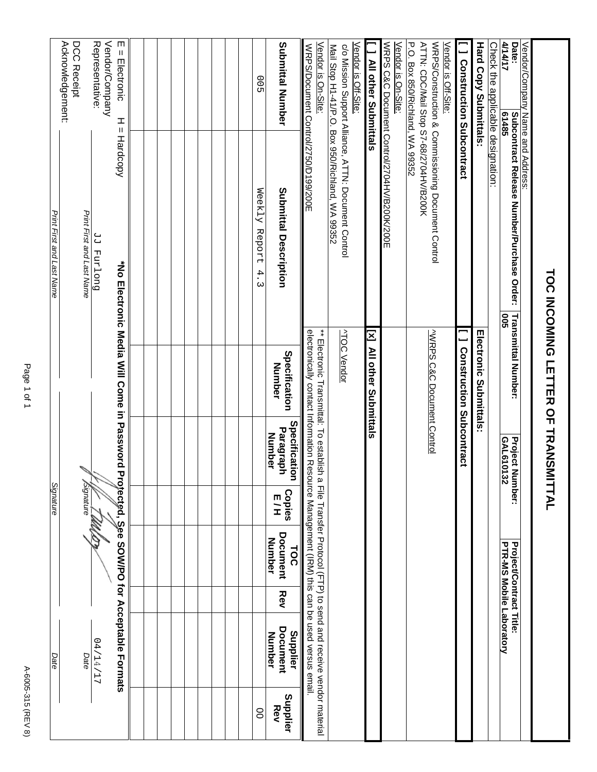|                           | Acknowledgement:<br>DCC Receipt |                           | Vendor/Company<br>Representative: | m<br>$=$ Electronic<br>I<br>Ш                |  |  |  |  | 00                   | <b>Submittal Number</b>                     | Vendor is On-Site:<br>WRPS/Document Control/2750/D199/200E                                                                                                                                                                                                                                                                                                                               | Vendor is Off-Site:                                                                                     | <b>All other Submittals</b> | Vendor is On-Site:                          | P.O. Box 850/Richland, WA 99352<br>ATTN: CDC/Mail Stop S7-68/2704HV/B200K<br>Vendor is Off-Site: | <b>J</b> Construction Subcontract | <b>Hard Copy Submittals:</b>  | Check the applic <u>able designation:</u> | Date:<br>4/14/17<br>61485                                  | Vendor/Company Name and Address: |                                    |
|---------------------------|---------------------------------|---------------------------|-----------------------------------|----------------------------------------------|--|--|--|--|----------------------|---------------------------------------------|------------------------------------------------------------------------------------------------------------------------------------------------------------------------------------------------------------------------------------------------------------------------------------------------------------------------------------------------------------------------------------------|---------------------------------------------------------------------------------------------------------|-----------------------------|---------------------------------------------|--------------------------------------------------------------------------------------------------|-----------------------------------|-------------------------------|-------------------------------------------|------------------------------------------------------------|----------------------------------|------------------------------------|
| Print First and Last Name |                                 | Print First and Last Name | Duo [xnd [P                       | Hardcopy                                     |  |  |  |  | Weekly Report<br>4.3 | <b>Submittal Description</b>                |                                                                                                                                                                                                                                                                                                                                                                                          | Mail Stop H1-41/P.O. Box 950/Richland, WA 99352<br>c/o Mission Support Alliance, ATTN: Document Control |                             | WRPS C&C Document Control/2704HV/B200K/200E | WRPS/Construction & Commissioning Document Control                                               |                                   |                               |                                           | <b>Subcontract Release Number/Purchase Order:</b><br>500   |                                  |                                    |
|                           |                                 |                           |                                   | *No Electronic Media Will Come in Password   |  |  |  |  |                      | Specification<br>Number                     | electronically contact Information Resource Management (IRM) this can be used versus email.<br>$_{\ast}$ = $\frac{1}{10}$ and $\frac{1}{10}$ and $\frac{1}{10}$ and $\frac{1}{10}$ and $\frac{1}{10}$ and $\frac{1}{10}$ and $\frac{1}{10}$ and $\frac{1}{10}$ and $\frac{1}{10}$ and $\frac{1}{10}$ and $\frac{1}{10}$ and $\frac{1}{10}$ and $\frac{1}{10}$ and $\frac{1}{10}$ and $\$ | <b>ATOC Vendor</b>                                                                                      | [x] All other Submittals    |                                             | WRPS C&C Document Control                                                                        | <b>I</b> Construction Subcontract | <b>Electronic Submittals:</b> |                                           | <b>Transmittal Number:</b>                                 |                                  | TOC INCOMING LETTER OF TRANSMITTAL |
|                           |                                 |                           |                                   |                                              |  |  |  |  |                      | Specification<br>Paragraph<br><b>Number</b> |                                                                                                                                                                                                                                                                                                                                                                                          |                                                                                                         |                             |                                             |                                                                                                  |                                   |                               |                                           | GAL610132<br><b>Project N</b><br>umber:                    |                                  |                                    |
| Signature                 |                                 | Signature                 |                                   |                                              |  |  |  |  |                      | <b>Copies</b><br>E/H                        |                                                                                                                                                                                                                                                                                                                                                                                          |                                                                                                         |                             |                                             |                                                                                                  |                                   |                               |                                           |                                                            |                                  |                                    |
|                           |                                 |                           |                                   |                                              |  |  |  |  |                      | <b>Document</b><br>Number<br><b>TOC</b>     |                                                                                                                                                                                                                                                                                                                                                                                          |                                                                                                         |                             |                                             |                                                                                                  |                                   |                               |                                           | PTR-MS Mobile Laboratory<br><b>Project/Contract Title:</b> |                                  |                                    |
|                           |                                 |                           |                                   |                                              |  |  |  |  |                      | Rev                                         |                                                                                                                                                                                                                                                                                                                                                                                          |                                                                                                         |                             |                                             |                                                                                                  |                                   |                               |                                           |                                                            |                                  |                                    |
| Date                      |                                 | Date                      | 11/51/17                          | Protected, See SOW/PO for Acceptable Formats |  |  |  |  |                      | Document<br>Supplier<br>Number              |                                                                                                                                                                                                                                                                                                                                                                                          |                                                                                                         |                             |                                             |                                                                                                  |                                   |                               |                                           |                                                            |                                  |                                    |
|                           |                                 |                           |                                   |                                              |  |  |  |  | 8                    | Supplier<br>Rev                             |                                                                                                                                                                                                                                                                                                                                                                                          |                                                                                                         |                             |                                             |                                                                                                  |                                   |                               |                                           |                                                            |                                  |                                    |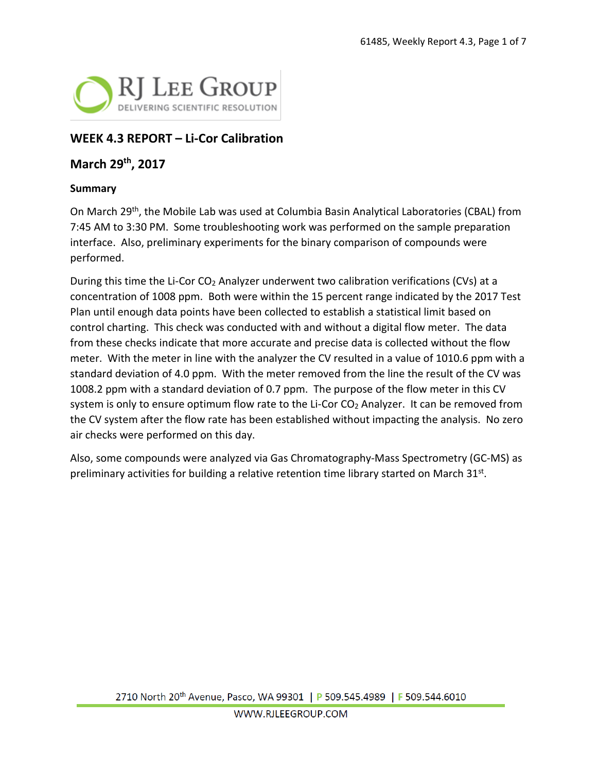

## **WEEK 4.3 REPORT – Li-Cor Calibration**

### **March 29th, 2017**

#### **Summary**

On March 29th, the Mobile Lab was used at Columbia Basin Analytical Laboratories (CBAL) from 7:45 AM to 3:30 PM. Some troubleshooting work was performed on the sample preparation interface. Also, preliminary experiments for the binary comparison of compounds were performed.

During this time the Li-Cor  $CO<sub>2</sub>$  Analyzer underwent two calibration verifications (CVs) at a concentration of 1008 ppm. Both were within the 15 percent range indicated by the 2017 Test Plan until enough data points have been collected to establish a statistical limit based on control charting. This check was conducted with and without a digital flow meter. The data from these checks indicate that more accurate and precise data is collected without the flow meter. With the meter in line with the analyzer the CV resulted in a value of 1010.6 ppm with a standard deviation of 4.0 ppm. With the meter removed from the line the result of the CV was 1008.2 ppm with a standard deviation of 0.7 ppm. The purpose of the flow meter in this CV system is only to ensure optimum flow rate to the Li-Cor  $CO<sub>2</sub>$  Analyzer. It can be removed from the CV system after the flow rate has been established without impacting the analysis. No zero air checks were performed on this day.

Also, some compounds were analyzed via Gas Chromatography-Mass Spectrometry (GC-MS) as preliminary activities for building a relative retention time library started on March  $31^{st}$ .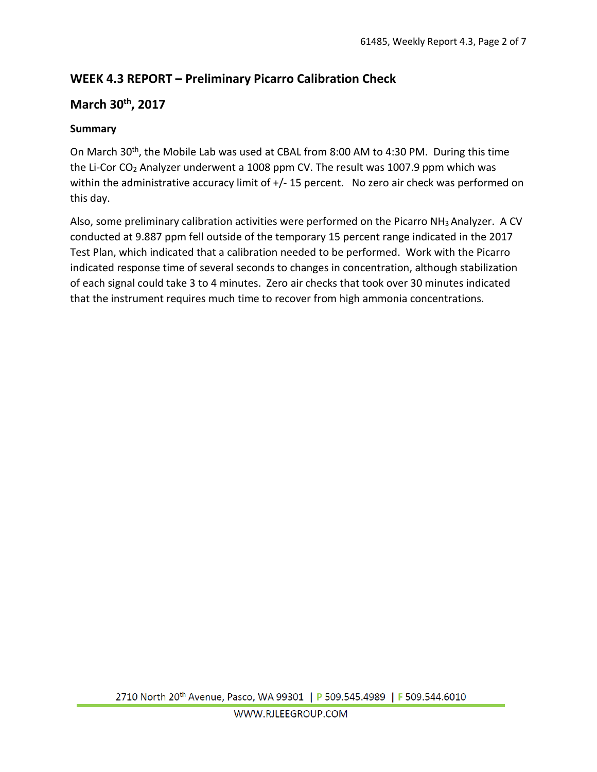# **WEEK 4.3 REPORT – Preliminary Picarro Calibration Check**

## **March 30th, 2017**

### **Summary**

On March 30<sup>th</sup>, the Mobile Lab was used at CBAL from 8:00 AM to 4:30 PM. During this time the Li-Cor CO2 Analyzer underwent a 1008 ppm CV. The result was 1007.9 ppm which was within the administrative accuracy limit of  $+/-$  15 percent. No zero air check was performed on this day.

Also, some preliminary calibration activities were performed on the Picarro NH3 Analyzer. A CV conducted at 9.887 ppm fell outside of the temporary 15 percent range indicated in the 2017 Test Plan, which indicated that a calibration needed to be performed. Work with the Picarro indicated response time of several seconds to changes in concentration, although stabilization of each signal could take 3 to 4 minutes. Zero air checks that took over 30 minutes indicated that the instrument requires much time to recover from high ammonia concentrations.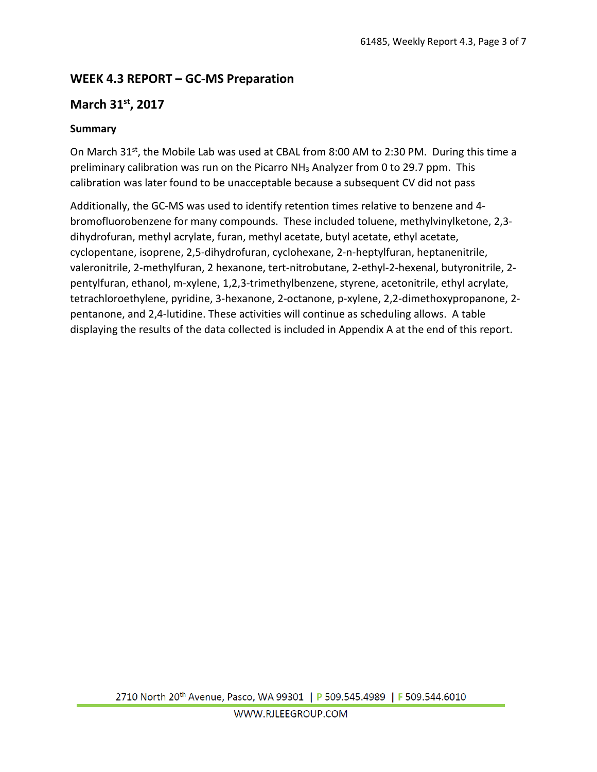# **WEEK 4.3 REPORT – GC-MS Preparation**

### **March 31st, 2017**

#### **Summary**

On March 31st, the Mobile Lab was used at CBAL from 8:00 AM to 2:30 PM. During this time a preliminary calibration was run on the Picarro NH3 Analyzer from 0 to 29.7 ppm. This calibration was later found to be unacceptable because a subsequent CV did not pass

Additionally, the GC-MS was used to identify retention times relative to benzene and 4 bromofluorobenzene for many compounds. These included toluene, methylvinylketone, 2,3 dihydrofuran, methyl acrylate, furan, methyl acetate, butyl acetate, ethyl acetate, cyclopentane, isoprene, 2,5-dihydrofuran, cyclohexane, 2-n-heptylfuran, heptanenitrile, valeronitrile, 2-methylfuran, 2 hexanone, tert-nitrobutane, 2-ethyl-2-hexenal, butyronitrile, 2 pentylfuran, ethanol, m-xylene, 1,2,3-trimethylbenzene, styrene, acetonitrile, ethyl acrylate, tetrachloroethylene, pyridine, 3-hexanone, 2-octanone, p-xylene, 2,2-dimethoxypropanone, 2 pentanone, and 2,4-lutidine. These activities will continue as scheduling allows. A table displaying the results of the data collected is included in Appendix A at the end of this report.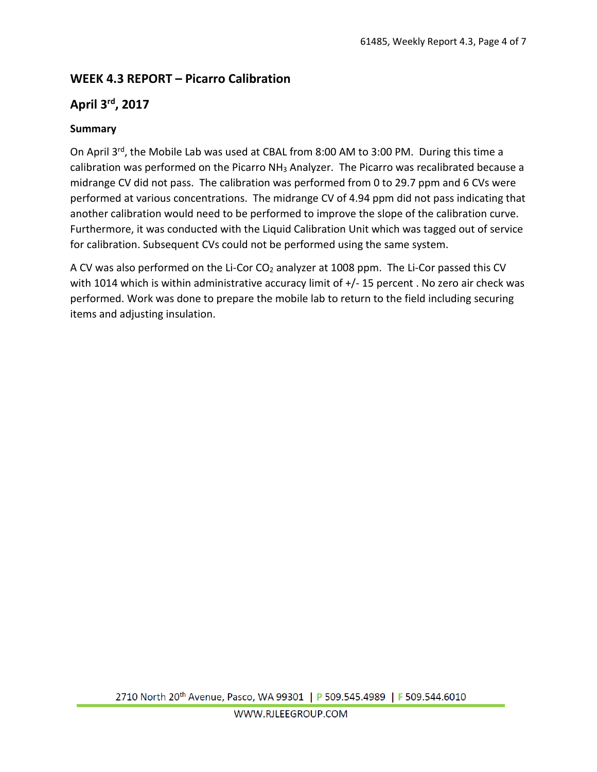# **WEEK 4.3 REPORT – Picarro Calibration**

## **April 3rd, 2017**

#### **Summary**

On April 3<sup>rd</sup>, the Mobile Lab was used at CBAL from 8:00 AM to 3:00 PM. During this time a calibration was performed on the Picarro NH3 Analyzer. The Picarro was recalibrated because a midrange CV did not pass. The calibration was performed from 0 to 29.7 ppm and 6 CVs were performed at various concentrations. The midrange CV of 4.94 ppm did not pass indicating that another calibration would need to be performed to improve the slope of the calibration curve. Furthermore, it was conducted with the Liquid Calibration Unit which was tagged out of service for calibration. Subsequent CVs could not be performed using the same system.

A CV was also performed on the Li-Cor CO<sub>2</sub> analyzer at 1008 ppm. The Li-Cor passed this CV with 1014 which is within administrative accuracy limit of  $+/-$  15 percent . No zero air check was performed. Work was done to prepare the mobile lab to return to the field including securing items and adjusting insulation.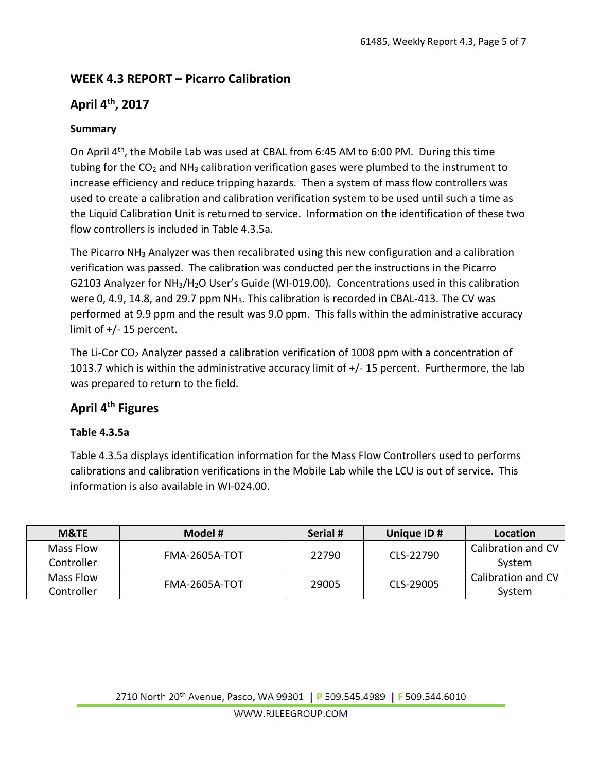# **WEEK 4.3 REPORT – Picarro Calibration**

## **April 4th, 2017**

### **Summary**

On April 4th, the Mobile Lab was used at CBAL from 6:45 AM to 6:00 PM. During this time tubing for the  $CO<sub>2</sub>$  and NH<sub>3</sub> calibration verification gases were plumbed to the instrument to increase efficiency and reduce tripping hazards. Then a system of mass flow controllers was used to create a calibration and calibration verification system to be used until such a time as the Liquid Calibration Unit is returned to service. Information on the identification of these two flow controllers is included in Table 4.3.5a.

The Picarro NH<sub>3</sub> Analyzer was then recalibrated using this new configuration and a calibration verification was passed. The calibration was conducted per the instructions in the Picarro G2103 Analyzer for NH3/H2O User's Guide (WI-019.00). Concentrations used in this calibration were 0, 4.9, 14.8, and 29.7 ppm NH<sub>3</sub>. This calibration is recorded in CBAL-413. The CV was performed at 9.9 ppm and the result was 9.0 ppm. This falls within the administrative accuracy limit of +/- 15 percent.

The Li-Cor CO<sub>2</sub> Analyzer passed a calibration verification of 1008 ppm with a concentration of 1013.7 which is within the administrative accuracy limit of +/- 15 percent. Furthermore, the lab was prepared to return to the field.

### **April 4th Figures**

#### **Table 4.3.5a**

Table 4.3.5a displays identification information for the Mass Flow Controllers used to performs calibrations and calibration verifications in the Mobile Lab while the LCU is out of service. This information is also available in WI-024.00.

| <b>M&amp;TE</b> | Model #              | Serial # | Unique ID# | Location           |  |  |
|-----------------|----------------------|----------|------------|--------------------|--|--|
| Mass Flow       |                      |          |            | Calibration and CV |  |  |
| Controller      | <b>FMA-2605A-TOT</b> | 22790    | CLS-22790  | System             |  |  |
| Mass Flow       | <b>FMA-2605A-TOT</b> | 29005    | CLS-29005  | Calibration and CV |  |  |
| Controller      |                      |          |            | System             |  |  |

2710 North 20<sup>th</sup> Avenue, Pasco, WA 99301 | P 509.545.4989 | F 509.544.6010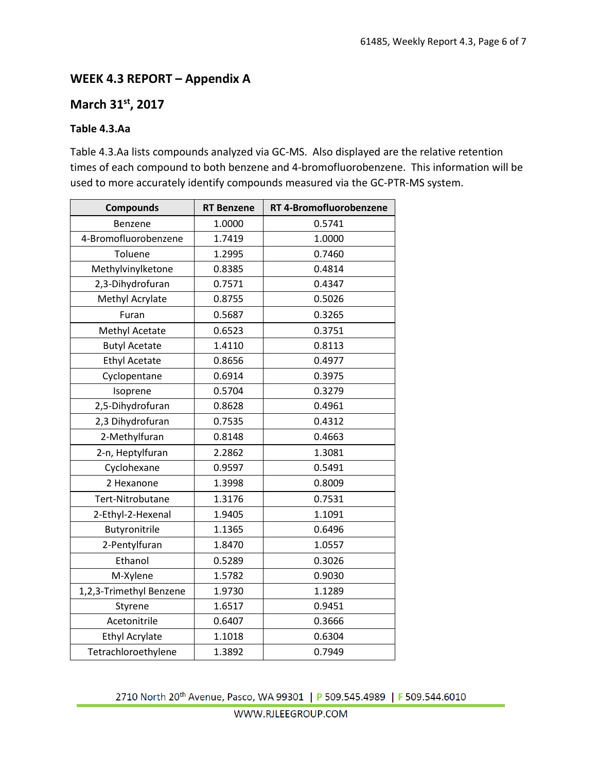### **WEEK 4.3 REPORT – Appendix A**

## **March 31st, 2017**

#### **Table 4.3.Aa**

Table 4.3.Aa lists compounds analyzed via GC-MS. Also displayed are the relative retention times of each compound to both benzene and 4-bromofluorobenzene. This information will be used to more accurately identify compounds measured via the GC-PTR-MS system.

| <b>Compounds</b>        | <b>RT</b> Benzene | RT 4-Bromofluorobenzene |
|-------------------------|-------------------|-------------------------|
| Benzene                 | 1.0000            | 0.5741                  |
| 4-Bromofluorobenzene    | 1.7419            | 1.0000                  |
| Toluene                 | 1.2995            | 0.7460                  |
| Methylvinylketone       | 0.8385            | 0.4814                  |
| 2,3-Dihydrofuran        | 0.7571            | 0.4347                  |
| Methyl Acrylate         | 0.8755            | 0.5026                  |
| Furan                   | 0.5687            | 0.3265                  |
| Methyl Acetate          | 0.6523            | 0.3751                  |
| <b>Butyl Acetate</b>    | 1.4110            | 0.8113                  |
| <b>Ethyl Acetate</b>    | 0.8656            | 0.4977                  |
| Cyclopentane            | 0.6914            | 0.3975                  |
| Isoprene                | 0.5704            | 0.3279                  |
| 2,5-Dihydrofuran        | 0.8628            | 0.4961                  |
| 2,3 Dihydrofuran        | 0.7535            | 0.4312                  |
| 2-Methylfuran           | 0.8148            | 0.4663                  |
| 2-n, Heptylfuran        | 2.2862            | 1.3081                  |
| Cyclohexane             | 0.9597            | 0.5491                  |
| 2 Hexanone              | 1.3998            | 0.8009                  |
| Tert-Nitrobutane        | 1.3176            | 0.7531                  |
| 2-Ethyl-2-Hexenal       | 1.9405            | 1.1091                  |
| Butyronitrile           | 1.1365            | 0.6496                  |
| 2-Pentylfuran           | 1.8470            | 1.0557                  |
| Ethanol                 | 0.5289            | 0.3026                  |
| M-Xylene                | 1.5782            | 0.9030                  |
| 1,2,3-Trimethyl Benzene | 1.9730            | 1.1289                  |
| Styrene                 | 1.6517            | 0.9451                  |
| Acetonitrile            | 0.6407            | 0.3666                  |
| <b>Ethyl Acrylate</b>   | 1.1018            | 0.6304                  |
| Tetrachloroethylene     | 1.3892            | 0.7949                  |

2710 North 20<sup>th</sup> Avenue, Pasco, WA 99301 | P 509.545.4989 | F 509.544.6010